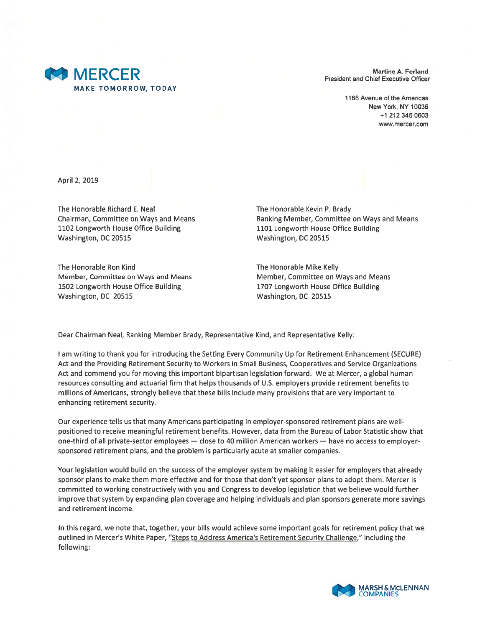

Martine A. Ferland President and Chief Executive Officer

> 1166 Avenue of the Americas New York, NY 10036 +1 212 345 0603 www.mercer.com

April 2, 2019

The Honorable Richard E. Neal Chairman, Committee on Ways and Means 1102 Longworth House Office Building Washington, DC 20515

The Honorable Ron Kind Member, Committee on Ways and Means 1502 Longworth House Office Building Washington, DC 20515

The Honorable Kevin P. Brady Ranking Member, Committee on Ways and Means 1101 Longworth House Office Building Washington, DC 20515

The Honorable Mike Kelly Member, Committee on Ways and Means 1707 Longworth House Office Building Washington, DC 20515

Dear Chairman Neal, Ranking Member Brady, Representative Kind, and Representative Kelly:

I am writing to thank you for introducing the Setting Every Community Up for Retirement Enhancement (SECURE) Act and the Providing Retirement Security to Workers in Small Business, Cooperatives and Service Organizations Act and commend you for moving this important bipartisan legislation forward. We at Mercer, <sup>a</sup> global human resources consulting and actuarial firm that helps thousands of U.S. employers provide retirement benefits to millions of Americans, strongly believe that these bills include many provisions that are very important to enhancing retirement security.

Our experience tells us that many Americans participating in employer-sponsored retirement plans are wellpositioned to receive meaningful retirement benefits. However, data from the Bureau of Labor Statistic show that one-third of all private-sector employees — close to 40 million American workers — have no access to employersponsored retirement plans, and the problem is particularly acute at smaller companies.

Your legislation would build on the success of the employer system by making it easier for employers that already sponsor plans to make them more effective and for those that don't ye<sup>t</sup> sponsor plans to adopt them. Mercer is committed to working constructively with you and Congress to develop legislation that we believe would further improve that system by expanding plan coverage and helping individuals and plan sponsors generate more savings and retirement income.

In this regard, we note that, together, your bills would achieve some important goals for retirement policy that we outlined in Mercer's White Paper, "Steps to Address America's Retirement Security Challenge," including the following: